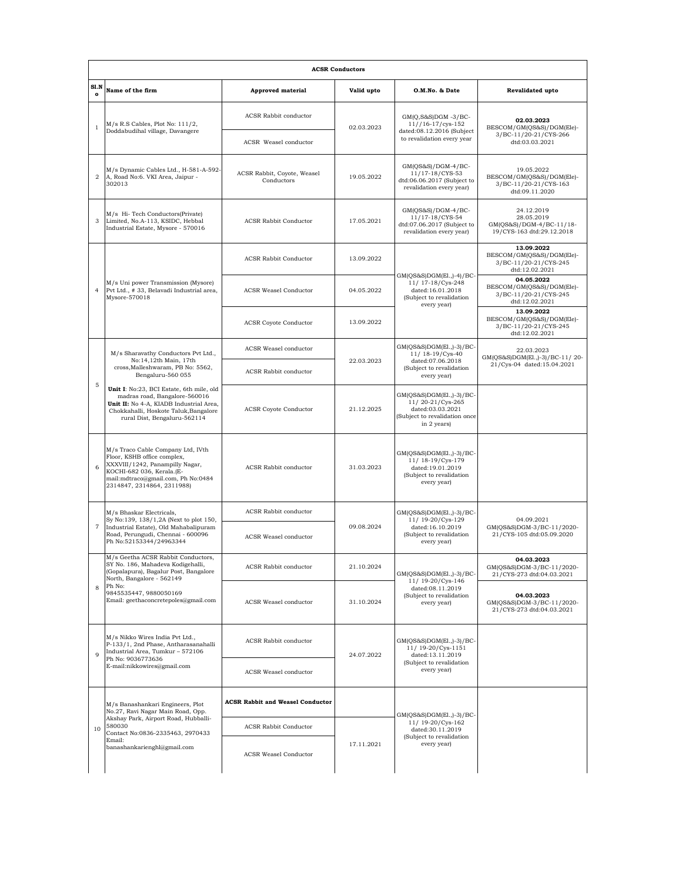| <b>ACSR Conductors</b> |                                                                                                                                                                                                                                                                                                                         |                                           |            |                                                                                                                  |                                                                                    |  |  |  |
|------------------------|-------------------------------------------------------------------------------------------------------------------------------------------------------------------------------------------------------------------------------------------------------------------------------------------------------------------------|-------------------------------------------|------------|------------------------------------------------------------------------------------------------------------------|------------------------------------------------------------------------------------|--|--|--|
| S1.N<br>$\mathbf{o}$   | Name of the firm                                                                                                                                                                                                                                                                                                        | <b>Approved material</b>                  | Valid upto | O.M.No. & Date                                                                                                   | <b>Revalidated upto</b>                                                            |  |  |  |
| $\mathbf{1}$           | $M/s$ R.S Cables, Plot No: $111/2$ ,<br>Doddabudihal village, Davangere                                                                                                                                                                                                                                                 | <b>ACSR Rabbit conductor</b>              | 02.03.2023 | $GM(Q,S&S)DGM -3/BC-$<br>$11//16-17/cys-152$<br>dated:08.12.2016 (Subject<br>to revalidation every year          | 02.03.2023<br>BESCOM/GM(QS&S)/DGM(Ele)-<br>3/BC-11/20-21/CYS-266<br>dtd:03.03.2021 |  |  |  |
|                        |                                                                                                                                                                                                                                                                                                                         | ACSR Weasel conductor                     |            |                                                                                                                  |                                                                                    |  |  |  |
| $\overline{2}$         | M/s Dynamic Cables Ltd., H-581-A-592-<br>A, Road No:6. VKI Area, Jaipur -<br>302013                                                                                                                                                                                                                                     | ACSR Rabbit, Coyote, Weasel<br>Conductors | 19.05.2022 | GM(QS&S)/DGM-4/BC-<br>11/17-18/CYS-53<br>dtd:06.06.2017 (Subject to<br>revalidation every year)                  | 19.05.2022<br>BESCOM/GM(QS&S)/DGM(Ele)-<br>3/BC-11/20-21/CYS-163<br>dtd:09.11.2020 |  |  |  |
| 3                      | M/s Hi-Tech Conductors(Private)<br>Limited, No.A-113, KSIDC, Hebbal<br>Industrial Estate, Mysore - 570016                                                                                                                                                                                                               | <b>ACSR Rabbit Conductor</b>              | 17.05.2021 | $GM(QS&S)/DGM-4/BC-$<br>11/17-18/CYS-54<br>dtd:07.06.2017 (Subject to<br>revalidation every year)                | 24.12.2019<br>28.05.2019<br>GM(QS&S)/DGM-4/BC-11/18-<br>19/CYS-163 dtd:29.12.2018  |  |  |  |
| $\overline{4}$         | M/s Uni power Transmission (Mysore)<br>Pvt Ltd., # 33, Belavadi Industrial area,<br>Mysore-570018                                                                                                                                                                                                                       | <b>ACSR Rabbit Conductor</b>              | 13.09.2022 | $GM(QS&S)DGM(E1.,-4)/BC-$<br>11/ 17-18/Cys-248<br>dated:16.01.2018<br>(Subject to revalidation<br>every year)    | 13.09.2022<br>BESCOM/GM(QS&S)/DGM(Ele)-<br>3/BC-11/20-21/CYS-245<br>dtd:12.02.2021 |  |  |  |
|                        |                                                                                                                                                                                                                                                                                                                         | ACSR Weasel Conductor                     | 04.05.2022 |                                                                                                                  | 04.05.2022<br>BESCOM/GM(QS&S)/DGM(Ele)-<br>3/BC-11/20-21/CYS-245<br>dtd:12.02.2021 |  |  |  |
|                        |                                                                                                                                                                                                                                                                                                                         | <b>ACSR Coyote Conductor</b>              | 13.09.2022 |                                                                                                                  | 13.09.2022<br>BESCOM/GM(QS&S)/DGM(Ele)-<br>3/BC-11/20-21/CYS-245<br>dtd:12.02.2021 |  |  |  |
|                        | M/s Sharavathy Conductors Pvt Ltd.,<br>No:14,12th Main, 17th<br>cross, Malleshwaram, PB No: 5562,<br>Bengaluru-560 055<br>Unit I: No:23, BCI Estate, 6th mile, old<br>madras road, Bangalore-560016<br>Unit II: No 4-A, KIADB Industrial Area,<br>Chokkahalli, Hoskote Taluk, Bangalore<br>rural Dist, Bengaluru-562114 | ACSR Weasel conductor                     |            | GM(QS&S)DGM(El.,)-3)/BC-<br>11/ 18-19/Cys-40<br>dated:07.06.2018<br>(Subject to revalidation<br>every year)      | 22.03.2023<br>GM(QS&S)DGM(El.,)-3)/BC-11/20-<br>21/Cys-04 dated:15.04.2021         |  |  |  |
|                        |                                                                                                                                                                                                                                                                                                                         | ACSR Rabbit conductor                     | 22.03.2023 |                                                                                                                  |                                                                                    |  |  |  |
| $\mathbf 5$            |                                                                                                                                                                                                                                                                                                                         | <b>ACSR</b> Coyote Conductor              | 21.12.2025 | GM(QS&S)DGM(E1.,)-3)/BC-<br>11/20-21/Cys-265<br>dated:03.03.2021<br>(Subject to revalidation once<br>in 2 years) |                                                                                    |  |  |  |
| 6                      | M/s Traco Cable Company Ltd, IVth<br>Floor, KSHB office complex,<br>XXXVIII/1242, Panampilly Nagar,<br>KOCHI-682 036, Kerala.(E-<br>mail:mdtraco@gmail.com, Ph No:0484<br>2314847, 2314864, 2311988)                                                                                                                    | ACSR Rabbit conductor                     | 31.03.2023 | GM(QS&S)DGM(E1.,)-3)/BC-<br>11/ 18-19/Cys-179<br>dated:19.01.2019<br>(Subject to revalidation<br>every year)     |                                                                                    |  |  |  |
|                        | M/s Bhaskar Electricals,<br>Sy No:139, 138/1,2A (Next to plot 150,<br>Industrial Estate), Old Mahabalipuram<br>Road, Perungudi, Chennai - 600096<br>Ph No:52153344/24963344                                                                                                                                             | ACSR Rabbit conductor                     | 09.08.2024 | GM(QS&S)DGM(E1.,)-3)/BC-<br>11/ 19-20/Cys-129<br>dated:16.10.2019<br>(Subject to revalidation<br>every year)     | 04.09.2021<br>GM(QS&S)DGM-3/BC-11/2020-<br>21/CYS-105 dtd:05.09.2020               |  |  |  |
| $\overline{7}$         |                                                                                                                                                                                                                                                                                                                         | <b>ACSR</b> Weasel conductor              |            |                                                                                                                  |                                                                                    |  |  |  |
| 8                      | M/s Geetha ACSR Rabbit Conductors,<br>SY No. 186, Mahadeva Kodigehalli,<br>(Gopalapura), Bagalur Post, Bangalore<br>North, Bangalore - 562149<br>Ph No:<br>9845535447, 9880050169<br>Email: geethaconcretepoles@gmail.com                                                                                               | ACSR Rabbit conductor                     | 21.10.2024 | GM(QS&S)DGM(El.,)-3)/BC-<br>11/ 19-20/Cys-146<br>dated:08.11.2019<br>(Subject to revalidation<br>every year)     | 04.03.2023<br>GM(QS&S)DGM-3/BC-11/2020-<br>21/CYS-273 dtd:04.03.2021               |  |  |  |
|                        |                                                                                                                                                                                                                                                                                                                         | ACSR Weasel conductor                     | 31.10.2024 |                                                                                                                  | 04.03.2023<br>GM(QS&S)DGM-3/BC-11/2020-<br>21/CYS-273 dtd:04.03.2021               |  |  |  |
| $\mathbf Q$            | M/s Nikko Wires India Pvt Ltd.,<br>P-133/1, 2nd Phase, Antharasanahalli<br>Industrial Area, Tumkur - 572106<br>Ph No: 9036773636<br>E-mail:nikkowires@gmail.com                                                                                                                                                         | <b>ACSR</b> Rabbit conductor              | 24.07.2022 | GM(QS&S)DGM(E1.,)-3)/BC-<br>11/ 19-20/Cys-1151<br>dated:13.11.2019<br>(Subject to revalidation<br>every year)    |                                                                                    |  |  |  |
|                        |                                                                                                                                                                                                                                                                                                                         | ACSR Weasel conductor                     |            |                                                                                                                  |                                                                                    |  |  |  |
| 10                     | M/s Banashankari Engineers, Plot<br>No.27, Ravi Nagar Main Road, Opp.<br>Akshay Park, Airport Road, Hubballi-<br>580030<br>Contact No:0836-2335463, 2970433<br>Email:<br>banashankarienghl@gmail.com                                                                                                                    | <b>ACSR Rabbit and Weasel Conductor</b>   |            | GM(QS&S)DGM(El.,)-3)/BC-<br>11/ 19-20/Cys-162<br>dated:30.11.2019<br>(Subject to revalidation<br>every year)     |                                                                                    |  |  |  |
|                        |                                                                                                                                                                                                                                                                                                                         | <b>ACSR Rabbit Conductor</b>              | 17.11.2021 |                                                                                                                  |                                                                                    |  |  |  |
|                        |                                                                                                                                                                                                                                                                                                                         | ACSR Weasel Conductor                     |            |                                                                                                                  |                                                                                    |  |  |  |